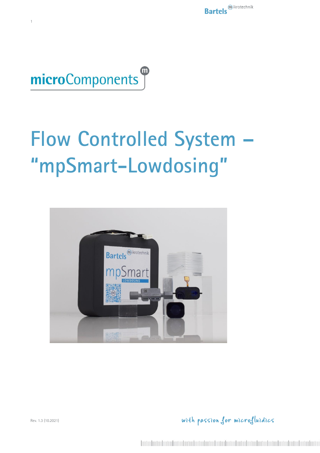

 $\overline{1}$ 

# **Flow Controlled System** "mpSmart-Lowdosing"



with passion for microfluidics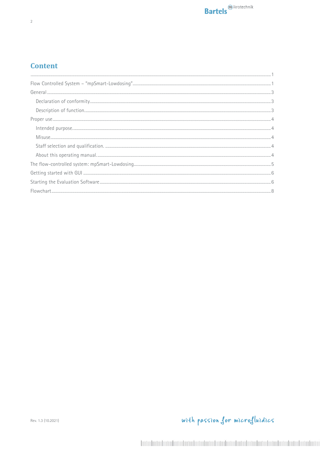#### **Content**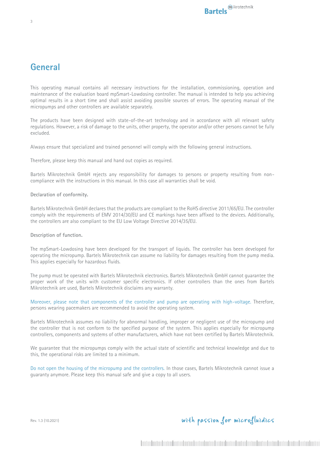#### **General**

This operating manual contains all necessary instructions for the installation, commissioning, operation and maintenance of the evaluation board mpSmart-Lowdosing controller. The manual is intended to help you achieving optimal results in a short time and shall assist avoiding possible sources of errors. The operating manual of the micropumps and other controllers are available separately.

The products have been designed with state-of-the-art technology and in accordance with all relevant safety regulations. However, a risk of damage to the units, other property, the operator and/or other persons cannot be fully excluded.

Always ensure that specialized and trained personnel will comply with the following general instructions.

Therefore, please keep this manual and hand out copies as required.

Bartels Mikrotechnik GmbH rejects any responsibility for damages to persons or property resulting from noncompliance with the instructions in this manual. In this case all warranties shall be void.

#### **Declaration of conformity.**

Bartels Mikrotechnik GmbH declares that the products are compliant to the RoHS directive 2011/65/EU. The controller comply with the requirements of EMV 2014/30/EU and CE markings have been affixed to the devices. Additionally, the controllers are also compliant to the EU Low Voltage Directive 2014/35/EU.

#### **Description of function.**

The mpSmart-Lowdosing have been developed for the transport of liquids. The controller has been developed for operating the micropump. Bartels Mikrotechnik can assume no liability for damages resulting from the pump media. This applies especially for hazardous fluids.

The pump must be operated with Bartels Mikrotechnik electronics. Bartels Mikrotechnik GmbH cannot guarantee the proper work of the units with customer specific electronics. If other controllers than the ones from Bartels Mikrotechnik are used, Bartels Mikrotechnik disclaims any warranty.

Moreover, please note that components of the controller and pump are operating with high-voltage. Therefore, persons wearing pacemakers are recommended to avoid the operating system.

Bartels Mikrotechnik assumes no liability for abnormal handling, improper or negligent use of the micropump and the controller that is not conform to the specified purpose of the system. This applies especially for micropump controllers, components and systems of other manufacturers, which have not been certified by Bartels Mikrotechnik.

We guarantee that the micropumps comply with the actual state of scientific and technical knowledge and due to this, the operational risks are limited to a minimum.

Do not open the housing of the micropump and the controllers. In those cases, Bartels Mikrotechnik cannot issue a guaranty anymore. Please keep this manual safe and give a copy to all users.

Rev. 1.3 (10.2021)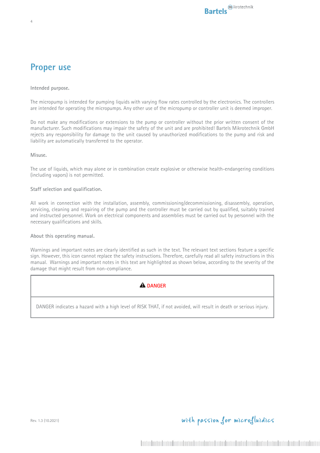### **Proper use**

4

**Intended purpose.**

The micropump is intended for pumping liquids with varying flow rates controlled by the electronics. The controllers are intended for operating the micropumps. Any other use of the micropump or controller unit is deemed improper.

Do not make any modifications or extensions to the pump or controller without the prior written consent of the manufacturer. Such modifications may impair the safety of the unit and are prohibited! Bartels Mikrotechnik GmbH rejects any responsibility for damage to the unit caused by unauthorized modifications to the pump and risk and liability are automatically transferred to the operator.

**Misuse.**

The use of liquids, which may alone or in combination create explosive or otherwise health-endangering conditions (including vapors) is not permitted.

#### **Staff selection and qualification.**

All work in connection with the installation, assembly, commissioning/decommissioning, disassembly, operation, servicing, cleaning and repairing of the pump and the controller must be carried out by qualified, suitably trained and instructed personnel. Work on electrical components and assemblies must be carried out by personnel with the necessary qualifications and skills.

**About this operating manual.**

Warnings and important notes are clearly identified as such in the text. The relevant text sections feature a specific sign. However, this icon cannot replace the safety instructions. Therefore, carefully read all safety instructions in this manual. Warnings and important notes in this text are highlighted as shown below, according to the severity of the damage that might result from non-compliance.

#### **A** DANGER

DANGER indicates a hazard with a high level of RISK THAT, if not avoided, will result in death or serious injury.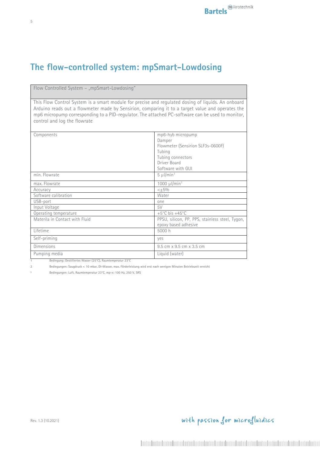## **The flow-controlled system: mpSmart-Lowdosing**

Flow Controlled System - "mpSmart-Lowdosing'

This Flow Control System is a smart module for precise and regulated dosing of liquids. An onboard Arduino reads out a flowmeter made by Sensirion, comparing it to a target value and operates the mp6 micropump corresponding to a PID-regulator. The attached PC-software can be used to monitor, control and log the flowrate

| Components                     | mp6-hyb micropump                               |
|--------------------------------|-------------------------------------------------|
|                                | Damper                                          |
|                                | Flowmeter (Sensirion SLF3s-0600F)               |
|                                | Tubing                                          |
|                                | Tubing connectors                               |
|                                | Driver Board                                    |
|                                | Software with GUI                               |
| min. Flowrate                  | $5 \mu$ l/min <sup>1</sup>                      |
| max. Flowrate                  | 1000 $\mu$ I/min <sup>1</sup>                   |
| Accuracy                       | $< +5%$                                         |
| Software calibration           | Water                                           |
| USB-port                       | one                                             |
| Input Voltage                  | 5V                                              |
| Operating temperature          | +5 $°C$ bis +45 $°C$                            |
| Materila in Contact with Fluid | PPSU, silicon, PP, PPS, stainless steel, Tygon, |
|                                | epoxy based adhesive                            |
| Lifetime                       | 5000 h                                          |
| Self-priming                   | yes                                             |
| Dimensions                     | 9.5 cm x 9.5 cm x 3.5 cm                        |
| Pumping media                  | Liquid (water)                                  |
|                                |                                                 |

**1 Bedingung: Destilliertes Wasser (25°C), Raumtemperatur 23°C**

Rev. 1.3 (10.2021)

**2 Bedingungen: Saugdruck < 10 mbar, DI-Wasser, max. Förderleistung wird erst nach wenigen Minuten Betriebszeit erreicht**

**³ Bedingungen: Luft, Raumtemperatur 23°C, mp-x: 100 Hz, 250 V, SRS**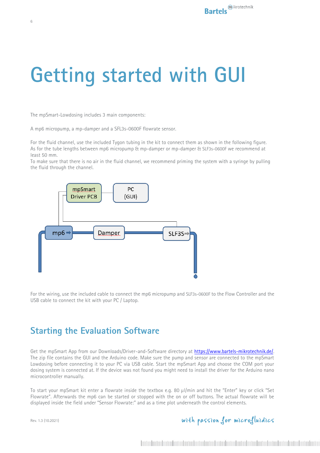## **Getting started with GUI**

The mpSmart-Lowdosing includes 3 main components:

A mp6 micropump, a mp-damper and a SFL3s-0600F flowrate sensor.

For the fluid channel, use the included Tygon tubing in the kit to connect them as shown in the following figure. As for the tube lengths between mp6 micropump & mp-damper or mp-damper & SLF3s-0600F we recommend at least 50 mm.

To make sure that there is no air in the fluid channel, we recommend priming the system with a syringe by pulling the fluid through the channel.



For the wiring, use the included cable to connect the mp6 micropump and SLF3s-0600F to the Flow Controller and the USB cable to connect the kit with your PC / Laptop.

#### **Starting the Evaluation Software**

Get the mpSmart App from our Downloads/Driver-and-Software directory at https://www.bartels-mikrotechnik.de/. The zip file contains the GUI and the Arduino code. Make sure the pump and sensor are connected to the mpSmart Lowdosing before connecting it to your PC via USB cable. Start the mpSmart App and choose the COM port your dosing system is connected at. If the device was not found you might need to install the driver for the Arduino nano microcontroller manually.

To start your mpSmart kit enter a flowrate inside the textbox e.g. 80 µl/min and hit the "Enter" key or click "Set Flowrate". Afterwards the mp6 can be started or stopped with the on or off buttons. The actual flowrate will be displayed inside the field under "Sensor Flowrate:" and as a time plot underneath the control elements.

Rev. 1.3 (10.2021)

with passion for microfluidics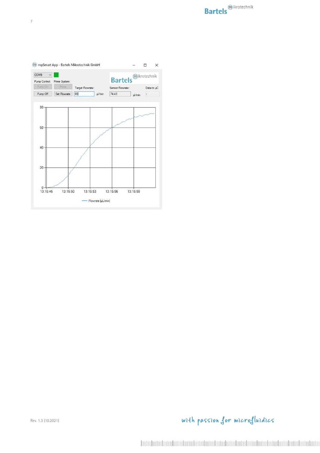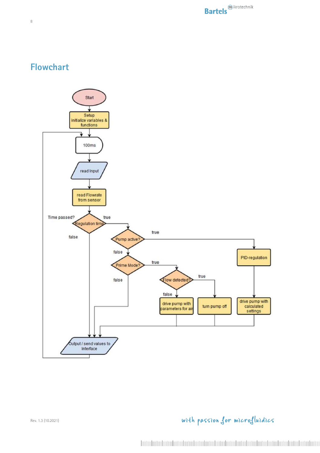## **Flowchart**